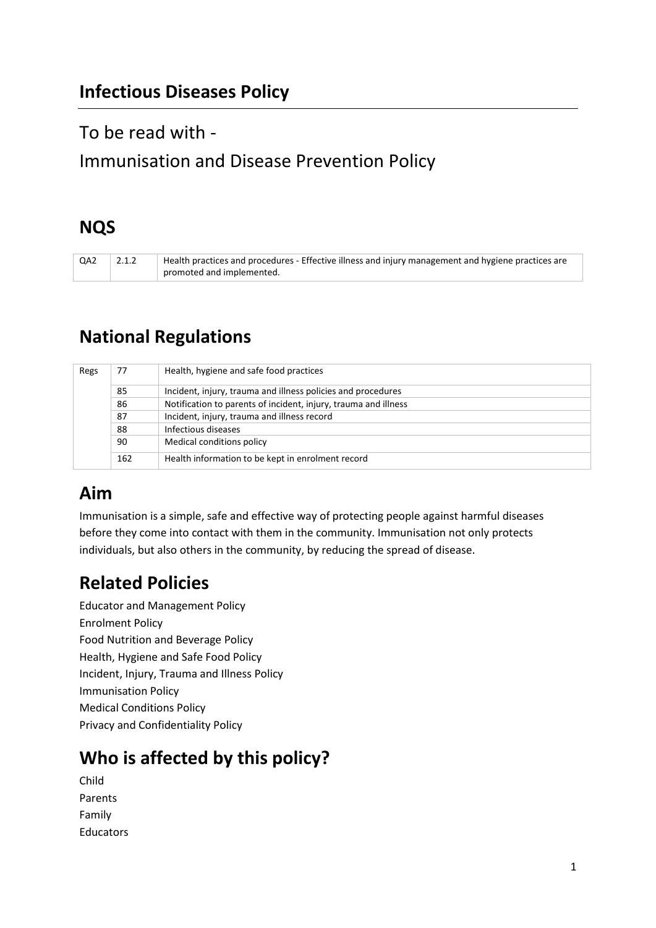## To be read with -

# Immunisation and Disease Prevention Policy

## **NQS**

QA2 2.1.2 Health practices and procedures - Effective illness and injury management and hygiene practices are promoted and implemented.

# **National Regulations**

| Regs | 77  | Health, hygiene and safe food practices                         |
|------|-----|-----------------------------------------------------------------|
|      | 85  | Incident, injury, trauma and illness policies and procedures    |
|      | 86  | Notification to parents of incident, injury, trauma and illness |
|      | 87  | Incident, injury, trauma and illness record                     |
|      | 88  | Infectious diseases                                             |
|      | 90  | Medical conditions policy                                       |
|      | 162 | Health information to be kept in enrolment record               |

## **Aim**

Immunisation is a simple, safe and effective way of protecting people against harmful diseases before they come into contact with them in the community. Immunisation not only protects individuals, but also others in the community, by reducing the spread of disease.

## **Related Policies**

Educator and Management Policy Enrolment Policy Food Nutrition and Beverage Policy Health, Hygiene and Safe Food Policy Incident, Injury, Trauma and Illness Policy Immunisation Policy Medical Conditions Policy Privacy and Confidentiality Policy

# **Who is affected by this policy?**

Child Parents Family Educators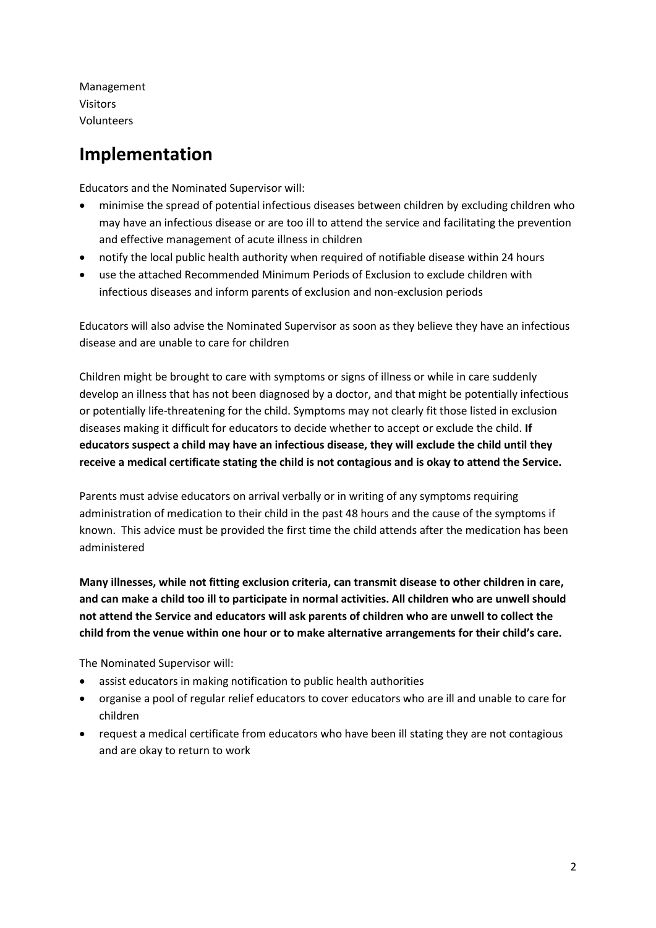Management Visitors Volunteers

## **Implementation**

Educators and the Nominated Supervisor will:

- minimise the spread of potential infectious diseases between children by excluding children who may have an infectious disease or are too ill to attend the service and facilitating the prevention and effective management of acute illness in children
- notify the local public health authority when required of notifiable disease within 24 hours
- use the attached Recommended Minimum Periods of Exclusion to exclude children with infectious diseases and inform parents of exclusion and non-exclusion periods

Educators will also advise the Nominated Supervisor as soon as they believe they have an infectious disease and are unable to care for children

Children might be brought to care with symptoms or signs of illness or while in care suddenly develop an illness that has not been diagnosed by a doctor, and that might be potentially infectious or potentially life-threatening for the child. Symptoms may not clearly fit those listed in exclusion diseases making it difficult for educators to decide whether to accept or exclude the child. **If educators suspect a child may have an infectious disease, they will exclude the child until they receive a medical certificate stating the child is not contagious and is okay to attend the Service.**

Parents must advise educators on arrival verbally or in writing of any symptoms requiring administration of medication to their child in the past 48 hours and the cause of the symptoms if known. This advice must be provided the first time the child attends after the medication has been administered

**Many illnesses, while not fitting exclusion criteria, can transmit disease to other children in care, and can make a child too ill to participate in normal activities. All children who are unwell should not attend the Service and educators will ask parents of children who are unwell to collect the child from the venue within one hour or to make alternative arrangements for their child's care.** 

The Nominated Supervisor will:

- assist educators in making notification to public health authorities
- organise a pool of regular relief educators to cover educators who are ill and unable to care for children
- request a medical certificate from educators who have been ill stating they are not contagious and are okay to return to work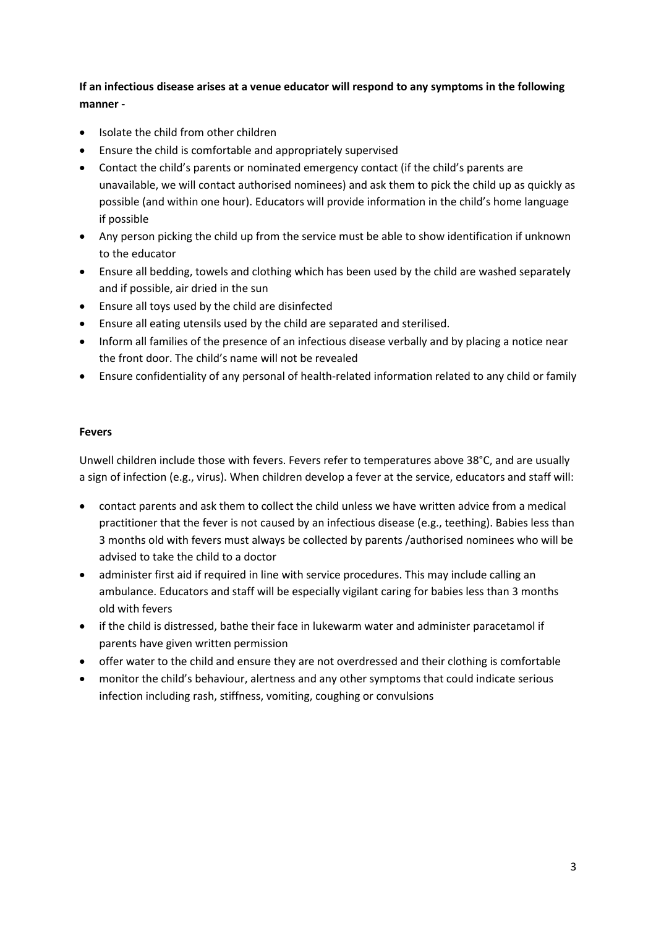## **If an infectious disease arises at a venue educator will respond to any symptoms in the following manner -**

- Isolate the child from other children
- Ensure the child is comfortable and appropriately supervised
- Contact the child's parents or nominated emergency contact (if the child's parents are unavailable, we will contact authorised nominees) and ask them to pick the child up as quickly as possible (and within one hour). Educators will provide information in the child's home language if possible
- Any person picking the child up from the service must be able to show identification if unknown to the educator
- Ensure all bedding, towels and clothing which has been used by the child are washed separately and if possible, air dried in the sun
- Ensure all toys used by the child are disinfected
- Ensure all eating utensils used by the child are separated and sterilised.
- Inform all families of the presence of an infectious disease verbally and by placing a notice near the front door. The child's name will not be revealed
- Ensure confidentiality of any personal of health-related information related to any child or family

## **Fevers**

Unwell children include those with fevers. Fevers refer to temperatures above 38°C, and are usually a sign of infection (e.g., virus). When children develop a fever at the service, educators and staff will:

- contact parents and ask them to collect the child unless we have written advice from a medical practitioner that the fever is not caused by an infectious disease (e.g., teething). Babies less than 3 months old with fevers must always be collected by parents /authorised nominees who will be advised to take the child to a doctor
- administer first aid if required in line with service procedures. This may include calling an ambulance. Educators and staff will be especially vigilant caring for babies less than 3 months old with fevers
- if the child is distressed, bathe their face in lukewarm water and administer paracetamol if parents have given written permission
- offer water to the child and ensure they are not overdressed and their clothing is comfortable
- monitor the child's behaviour, alertness and any other symptoms that could indicate serious infection including rash, stiffness, vomiting, coughing or convulsions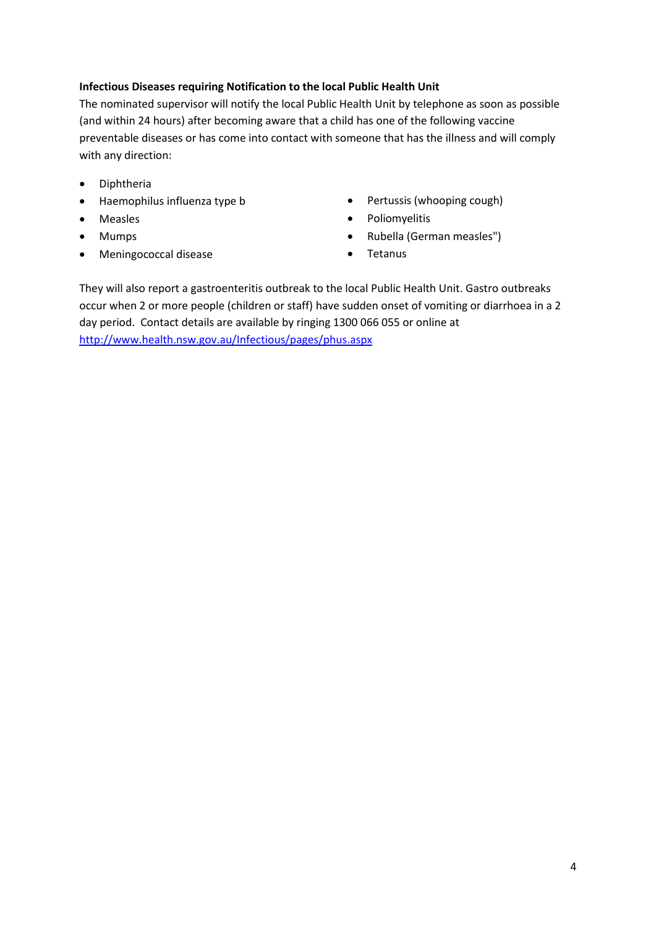## **Infectious Diseases requiring Notification to the local Public Health Unit**

The nominated supervisor will notify the local Public Health Unit by telephone as soon as possible (and within 24 hours) after becoming aware that a child has one of the following vaccine preventable diseases or has come into contact with someone that has the illness and will comply with any direction:

- Diphtheria
- Haemophilus influenza type b
- Measles
- Mumps
- Meningococcal disease
- Pertussis (whooping cough)
- Poliomyelitis
- Rubella (German measles")
- Tetanus

They will also report a gastroenteritis outbreak to the local Public Health Unit. Gastro outbreaks occur when 2 or more people (children or staff) have sudden onset of vomiting or diarrhoea in a 2 day period. Contact details are available by ringing 1300 066 055 or online at <http://www.health.nsw.gov.au/Infectious/pages/phus.aspx>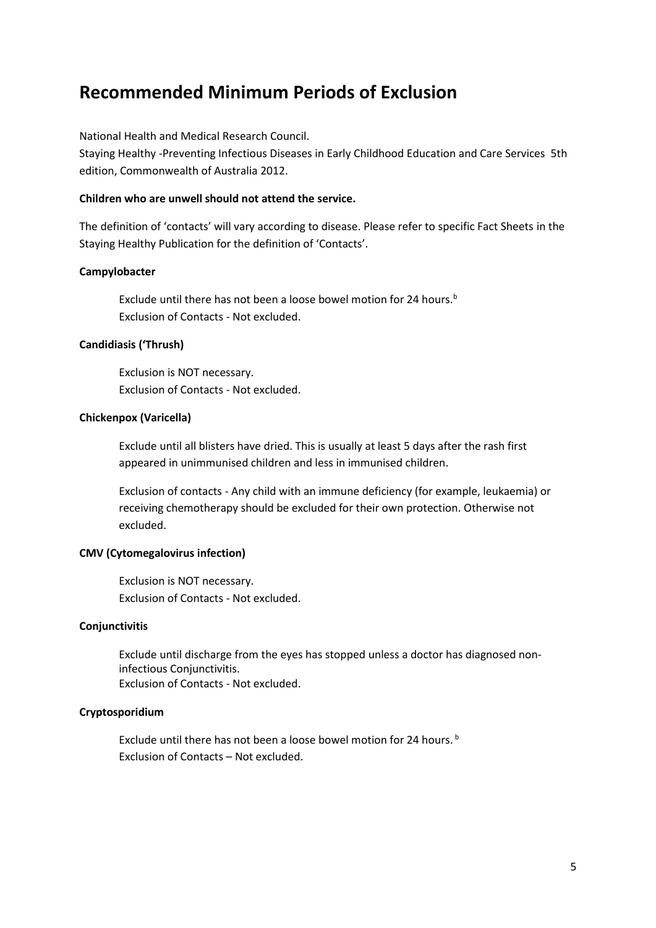## **Recommended Minimum Periods of Exclusion**

National Health and Medical Research Council.

Staying Healthy -Preventing Infectious Diseases in Early Childhood Education and Care Services 5th edition, Commonwealth of Australia 2012.

## **Children who are unwell should not attend the service.**

The definition of 'contacts' will vary according to disease. Please refer to specific Fact Sheets in the Staying Healthy Publication for the definition of 'Contacts'.

## **Campylobacter**

Exclude until there has not been a loose bowel motion for 24 hours.<sup>b</sup> Exclusion of Contacts - Not excluded.

## **Candidiasis ('Thrush)**

Exclusion is NOT necessary. Exclusion of Contacts - Not excluded.

## **Chickenpox (Varicella)**

Exclude until all blisters have dried. This is usually at least 5 days after the rash first appeared in unimmunised children and less in immunised children.

Exclusion of contacts - Any child with an immune deficiency (for example, leukaemia) or receiving chemotherapy should be excluded for their own protection. Otherwise not excluded.

## **CMV (Cytomegalovirus infection)**

Exclusion is NOT necessary. Exclusion of Contacts - Not excluded.

## **Conjunctivitis**

Exclude until discharge from the eyes has stopped unless a doctor has diagnosed noninfectious Conjunctivitis. Exclusion of Contacts - Not excluded.

## **Cryptosporidium**

Exclude until there has not been a loose bowel motion for 24 hours.<sup>b</sup> Exclusion of Contacts – Not excluded.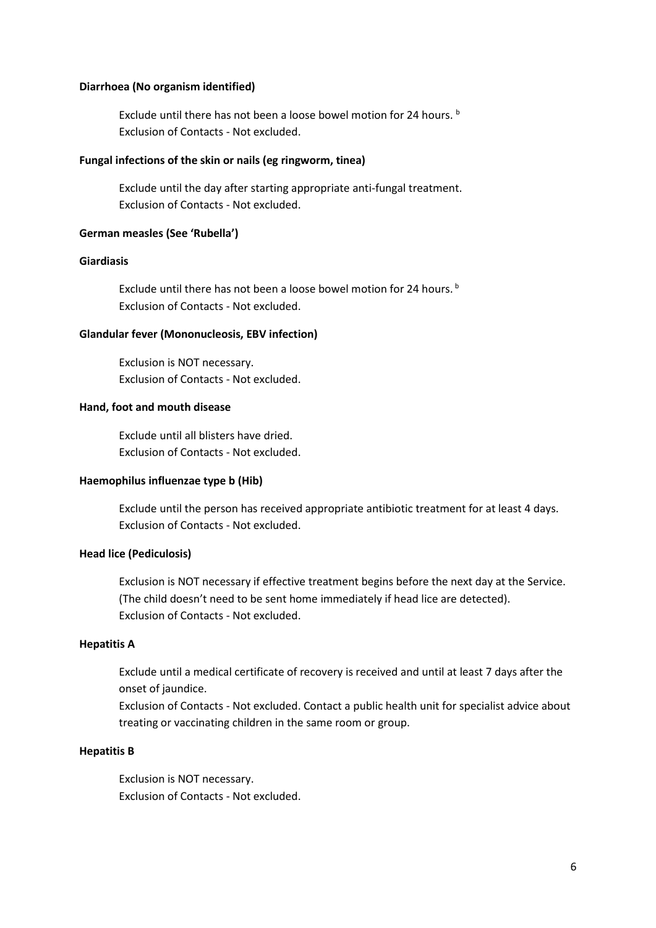#### **Diarrhoea (No organism identified)**

Exclude until there has not been a loose bowel motion for 24 hours. b Exclusion of Contacts - Not excluded.

#### **Fungal infections of the skin or nails (eg ringworm, tinea)**

Exclude until the day after starting appropriate anti-fungal treatment. Exclusion of Contacts - Not excluded.

#### **German measles (See 'Rubella')**

### **Giardiasis**

Exclude until there has not been a loose bowel motion for 24 hours.<sup>b</sup> Exclusion of Contacts - Not excluded.

#### **Glandular fever (Mononucleosis, EBV infection)**

Exclusion is NOT necessary. Exclusion of Contacts - Not excluded.

#### **Hand, foot and mouth disease**

Exclude until all blisters have dried. Exclusion of Contacts - Not excluded.

## **Haemophilus influenzae type b (Hib)**

Exclude until the person has received appropriate antibiotic treatment for at least 4 days. Exclusion of Contacts - Not excluded.

## **Head lice (Pediculosis)**

Exclusion is NOT necessary if effective treatment begins before the next day at the Service. (The child doesn't need to be sent home immediately if head lice are detected). Exclusion of Contacts - Not excluded.

## **Hepatitis A**

Exclude until a medical certificate of recovery is received and until at least 7 days after the onset of jaundice.

Exclusion of Contacts - Not excluded. Contact a public health unit for specialist advice about treating or vaccinating children in the same room or group.

#### **Hepatitis B**

Exclusion is NOT necessary. Exclusion of Contacts - Not excluded.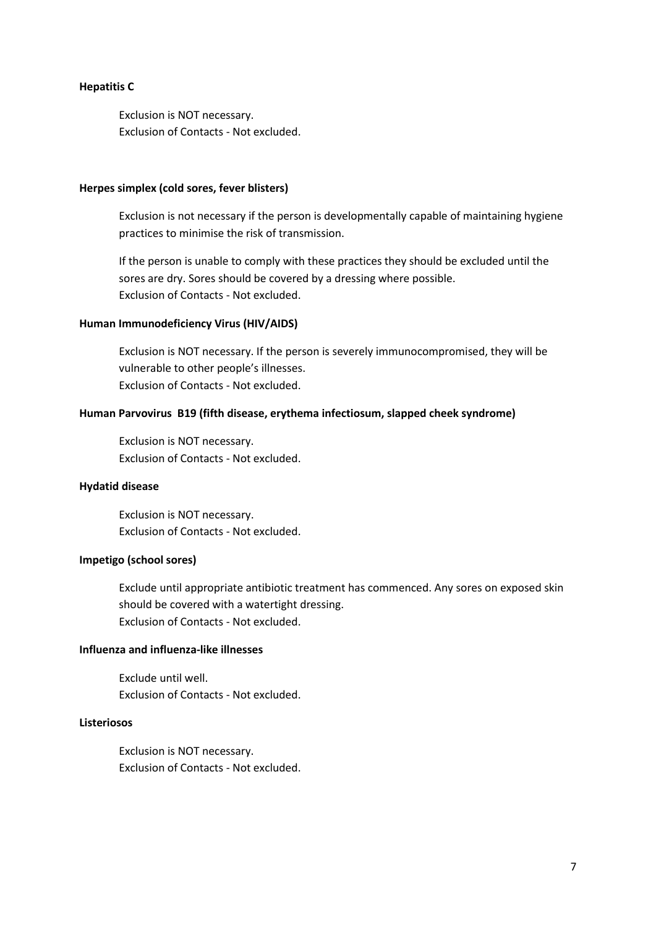#### **Hepatitis C**

Exclusion is NOT necessary. Exclusion of Contacts - Not excluded.

#### **Herpes simplex (cold sores, fever blisters)**

Exclusion is not necessary if the person is developmentally capable of maintaining hygiene practices to minimise the risk of transmission.

If the person is unable to comply with these practices they should be excluded until the sores are dry. Sores should be covered by a dressing where possible. Exclusion of Contacts - Not excluded.

## **Human Immunodeficiency Virus (HIV/AIDS)**

Exclusion is NOT necessary. If the person is severely immunocompromised, they will be vulnerable to other people's illnesses. Exclusion of Contacts - Not excluded.

#### **Human Parvovirus B19 (fifth disease, erythema infectiosum, slapped cheek syndrome)**

Exclusion is NOT necessary. Exclusion of Contacts - Not excluded.

#### **Hydatid disease**

Exclusion is NOT necessary. Exclusion of Contacts - Not excluded.

#### **Impetigo (school sores)**

Exclude until appropriate antibiotic treatment has commenced. Any sores on exposed skin should be covered with a watertight dressing. Exclusion of Contacts - Not excluded.

## **Influenza and influenza-like illnesses**

Exclude until well. Exclusion of Contacts - Not excluded.

#### **Listeriosos**

Exclusion is NOT necessary. Exclusion of Contacts - Not excluded.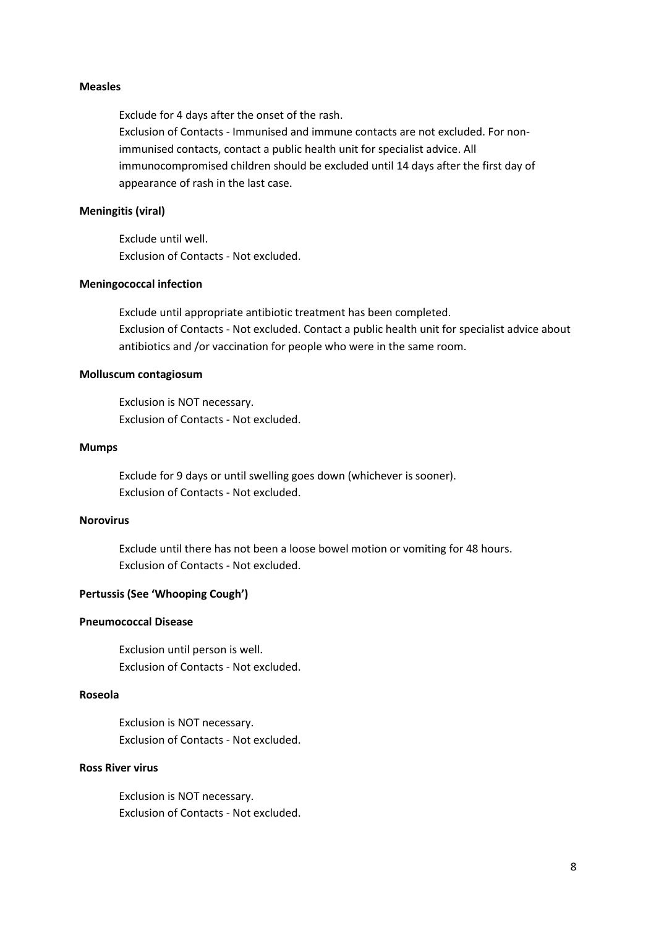#### **Measles**

Exclude for 4 days after the onset of the rash. Exclusion of Contacts - Immunised and immune contacts are not excluded. For nonimmunised contacts, contact a public health unit for specialist advice. All immunocompromised children should be excluded until 14 days after the first day of appearance of rash in the last case.

## **Meningitis (viral)**

Exclude until well. Exclusion of Contacts - Not excluded.

#### **Meningococcal infection**

Exclude until appropriate antibiotic treatment has been completed. Exclusion of Contacts - Not excluded. Contact a public health unit for specialist advice about antibiotics and /or vaccination for people who were in the same room.

#### **Molluscum contagiosum**

Exclusion is NOT necessary. Exclusion of Contacts - Not excluded.

#### **Mumps**

Exclude for 9 days or until swelling goes down (whichever is sooner). Exclusion of Contacts - Not excluded.

### **Norovirus**

Exclude until there has not been a loose bowel motion or vomiting for 48 hours. Exclusion of Contacts - Not excluded.

#### **Pertussis (See 'Whooping Cough')**

#### **Pneumococcal Disease**

Exclusion until person is well. Exclusion of Contacts - Not excluded.

## **Roseola**

Exclusion is NOT necessary. Exclusion of Contacts - Not excluded.

## **Ross River virus**

Exclusion is NOT necessary. Exclusion of Contacts - Not excluded.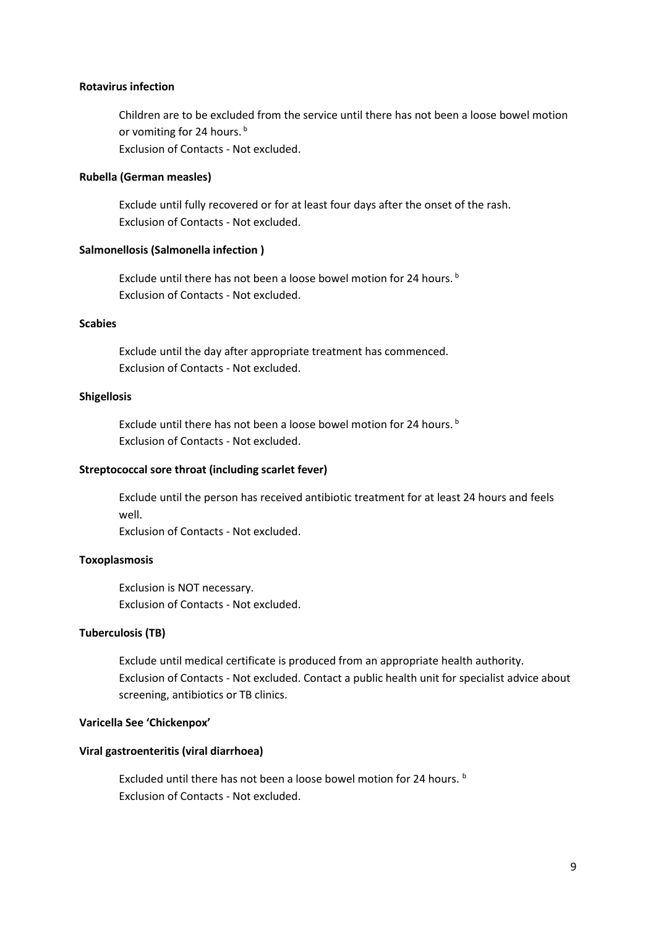#### **Rotavirus infection**

Children are to be excluded from the service until there has not been a loose bowel motion or vomiting for 24 hours.<sup>b</sup> Exclusion of Contacts - Not excluded.

**Rubella (German measles)** 

Exclude until fully recovered or for at least four days after the onset of the rash. Exclusion of Contacts - Not excluded.

#### **Salmonellosis (Salmonella infection )**

Exclude until there has not been a loose bowel motion for 24 hours.<sup>b</sup> Exclusion of Contacts - Not excluded.

## **Scabies**

Exclude until the day after appropriate treatment has commenced. Exclusion of Contacts - Not excluded.

#### **Shigellosis**

Exclude until there has not been a loose bowel motion for 24 hours.<sup>b</sup> Exclusion of Contacts - Not excluded.

#### **Streptococcal sore throat (including scarlet fever)**

Exclude until the person has received antibiotic treatment for at least 24 hours and feels well.

Exclusion of Contacts - Not excluded.

#### **Toxoplasmosis**

Exclusion is NOT necessary. Exclusion of Contacts - Not excluded.

## **Tuberculosis (TB)**

Exclude until medical certificate is produced from an appropriate health authority. Exclusion of Contacts - Not excluded. Contact a public health unit for specialist advice about screening, antibiotics or TB clinics.

#### **Varicella See 'Chickenpox'**

#### **Viral gastroenteritis (viral diarrhoea)**

Excluded until there has not been a loose bowel motion for 24 hours. b Exclusion of Contacts - Not excluded.